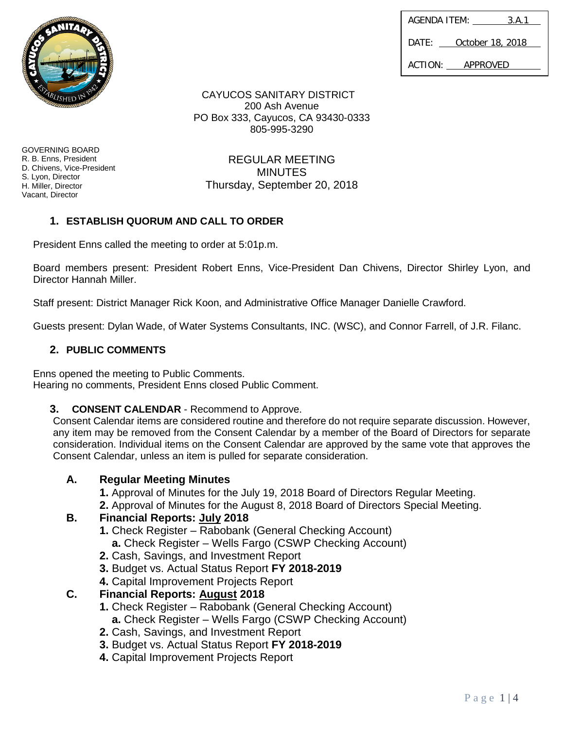| <b>COMMUNITY OF BRIDE</b> | ANITA                                      |  |
|---------------------------|--------------------------------------------|--|
|                           | ABLISHED IN<br><b>EXAMPLE OF THE STATE</b> |  |

| AGENDA ITEM:              |  | 3.A.1 |
|---------------------------|--|-------|
| DATF:<br>October 18, 2018 |  |       |
| ACTION:<br>APPROVED       |  |       |

CAYUCOS SANITARY DISTRICT 200 Ash Avenue PO Box 333, Cayucos, CA 93430-0333 805-995-3290

GOVERNING BOARD R. B. Enns, President D. Chivens, Vice-President S. Lyon, Director H. Miller, Director Vacant, Director

REGULAR MEETING **MINUTES** Thursday, September 20, 2018

# **1. ESTABLISH QUORUM AND CALL TO ORDER**

President Enns called the meeting to order at 5:01p.m.

Board members present: President Robert Enns, Vice-President Dan Chivens, Director Shirley Lyon, and Director Hannah Miller.

Staff present: District Manager Rick Koon, and Administrative Office Manager Danielle Crawford.

Guests present: Dylan Wade, of Water Systems Consultants, INC. (WSC), and Connor Farrell, of J.R. Filanc.

### **2. PUBLIC COMMENTS**

Enns opened the meeting to Public Comments. Hearing no comments, President Enns closed Public Comment.

### **3. CONSENT CALENDAR** - Recommend to Approve.

Consent Calendar items are considered routine and therefore do not require separate discussion. However, any item may be removed from the Consent Calendar by a member of the Board of Directors for separate consideration. Individual items on the Consent Calendar are approved by the same vote that approves the Consent Calendar, unless an item is pulled for separate consideration.

## **A. Regular Meeting Minutes**

- **1.** Approval of Minutes for the July 19, 2018 Board of Directors Regular Meeting.
- **2.** Approval of Minutes for the August 8, 2018 Board of Directors Special Meeting.

## **B. Financial Reports: July 2018**

- **1.** Check Register Rabobank (General Checking Account)
	- **a.** Check Register Wells Fargo (CSWP Checking Account)
- **2.** Cash, Savings, and Investment Report
- **3.** Budget vs. Actual Status Report **FY 2018-2019**
- **4.** Capital Improvement Projects Report

## **C. Financial Reports: August 2018**

- **1.** Check Register Rabobank (General Checking Account)
	- **a.** Check Register Wells Fargo (CSWP Checking Account)
- **2.** Cash, Savings, and Investment Report
- **3.** Budget vs. Actual Status Report **FY 2018-2019**
- **4.** Capital Improvement Projects Report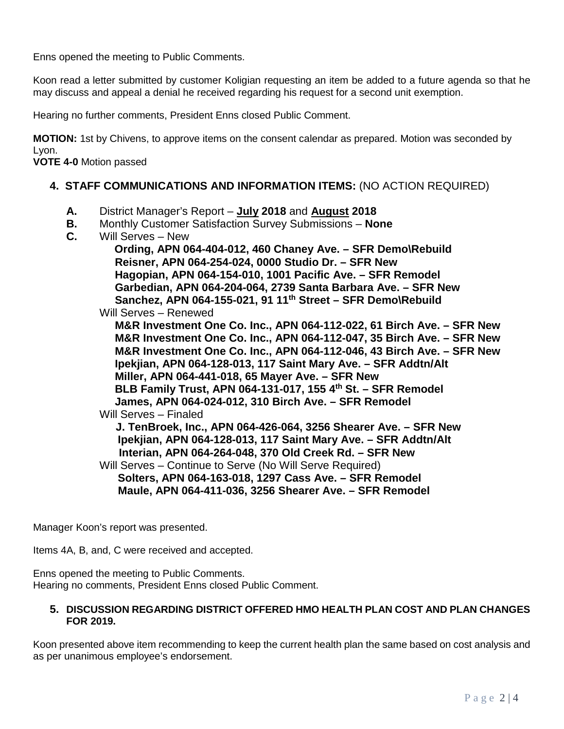Enns opened the meeting to Public Comments.

Koon read a letter submitted by customer Koligian requesting an item be added to a future agenda so that he may discuss and appeal a denial he received regarding his request for a second unit exemption.

Hearing no further comments, President Enns closed Public Comment.

**MOTION:** 1st by Chivens, to approve items on the consent calendar as prepared. Motion was seconded by Lyon.

**VOTE 4-0** Motion passed

### **4. STAFF COMMUNICATIONS AND INFORMATION ITEMS:** (NO ACTION REQUIRED)

- **A.** District Manager's Report **July 2018** and **August 2018**
- **B.** Monthly Customer Satisfaction Survey Submissions **None**
- **C.** Will Serves New

 **Ording, APN 064-404-012, 460 Chaney Ave. – SFR Demo\Rebuild Reisner, APN 064-254-024, 0000 Studio Dr. – SFR New Hagopian, APN 064-154-010, 1001 Pacific Ave. – SFR Remodel Garbedian, APN 064-204-064, 2739 Santa Barbara Ave. – SFR New Sanchez, APN 064-155-021, 91 11th Street – SFR Demo\Rebuild** Will Serves – Renewed **M&R Investment One Co. Inc., APN 064-112-022, 61 Birch Ave. – SFR New M&R Investment One Co. Inc., APN 064-112-047, 35 Birch Ave. – SFR New M&R Investment One Co. Inc., APN 064-112-046, 43 Birch Ave. – SFR New Ipekjian, APN 064-128-013, 117 Saint Mary Ave. – SFR Addtn/Alt Miller, APN 064-441-018, 65 Mayer Ave. – SFR New BLB Family Trust, APN 064-131-017, 155 4th St. – SFR Remodel James, APN 064-024-012, 310 Birch Ave. – SFR Remodel** Will Serves – Finaled **J. TenBroek, Inc., APN 064-426-064, 3256 Shearer Ave. – SFR New Ipekjian, APN 064-128-013, 117 Saint Mary Ave. – SFR Addtn/Alt Interian, APN 064-264-048, 370 Old Creek Rd. – SFR New** Will Serves – Continue to Serve (No Will Serve Required) **Solters, APN 064-163-018, 1297 Cass Ave. – SFR Remodel Maule, APN 064-411-036, 3256 Shearer Ave. – SFR Remodel**

Manager Koon's report was presented.

Items 4A, B, and, C were received and accepted.

Enns opened the meeting to Public Comments. Hearing no comments, President Enns closed Public Comment.

#### **5. DISCUSSION REGARDING DISTRICT OFFERED HMO HEALTH PLAN COST AND PLAN CHANGES FOR 2019.**

Koon presented above item recommending to keep the current health plan the same based on cost analysis and as per unanimous employee's endorsement.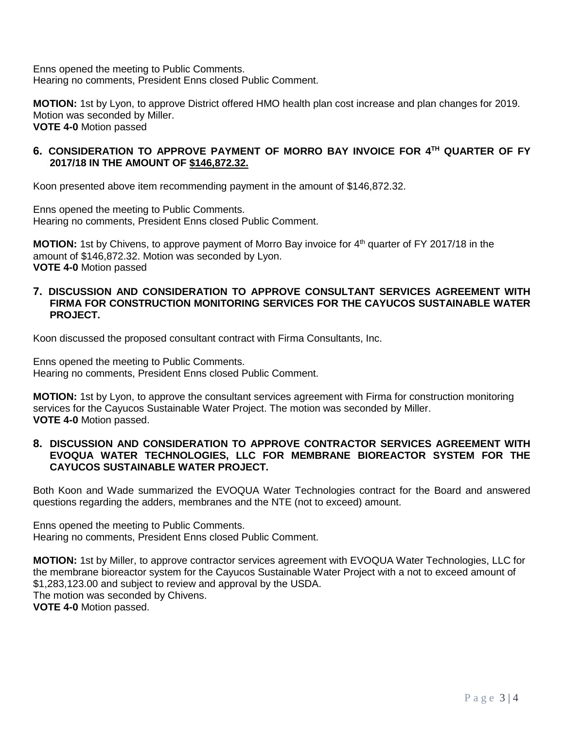Enns opened the meeting to Public Comments. Hearing no comments, President Enns closed Public Comment.

**MOTION:** 1st by Lyon, to approve District offered HMO health plan cost increase and plan changes for 2019. Motion was seconded by Miller. **VOTE 4-0** Motion passed

### **6. CONSIDERATION TO APPROVE PAYMENT OF MORRO BAY INVOICE FOR 4TH QUARTER OF FY 2017/18 IN THE AMOUNT OF \$146,872.32.**

Koon presented above item recommending payment in the amount of \$146,872.32.

Enns opened the meeting to Public Comments. Hearing no comments, President Enns closed Public Comment.

**MOTION:** 1st by Chivens, to approve payment of Morro Bay invoice for 4<sup>th</sup> quarter of FY 2017/18 in the amount of \$146,872.32. Motion was seconded by Lyon. **VOTE 4-0** Motion passed

### **7. DISCUSSION AND CONSIDERATION TO APPROVE CONSULTANT SERVICES AGREEMENT WITH FIRMA FOR CONSTRUCTION MONITORING SERVICES FOR THE CAYUCOS SUSTAINABLE WATER PROJECT.**

Koon discussed the proposed consultant contract with Firma Consultants, Inc.

Enns opened the meeting to Public Comments. Hearing no comments, President Enns closed Public Comment.

**MOTION:** 1st by Lyon, to approve the consultant services agreement with Firma for construction monitoring services for the Cayucos Sustainable Water Project. The motion was seconded by Miller. **VOTE 4-0** Motion passed.

#### **8. DISCUSSION AND CONSIDERATION TO APPROVE CONTRACTOR SERVICES AGREEMENT WITH EVOQUA WATER TECHNOLOGIES, LLC FOR MEMBRANE BIOREACTOR SYSTEM FOR THE CAYUCOS SUSTAINABLE WATER PROJECT.**

Both Koon and Wade summarized the EVOQUA Water Technologies contract for the Board and answered questions regarding the adders, membranes and the NTE (not to exceed) amount.

Enns opened the meeting to Public Comments. Hearing no comments, President Enns closed Public Comment.

**MOTION:** 1st by Miller, to approve contractor services agreement with EVOQUA Water Technologies, LLC for the membrane bioreactor system for the Cayucos Sustainable Water Project with a not to exceed amount of \$1,283,123.00 and subject to review and approval by the USDA. The motion was seconded by Chivens. **VOTE 4-0** Motion passed.